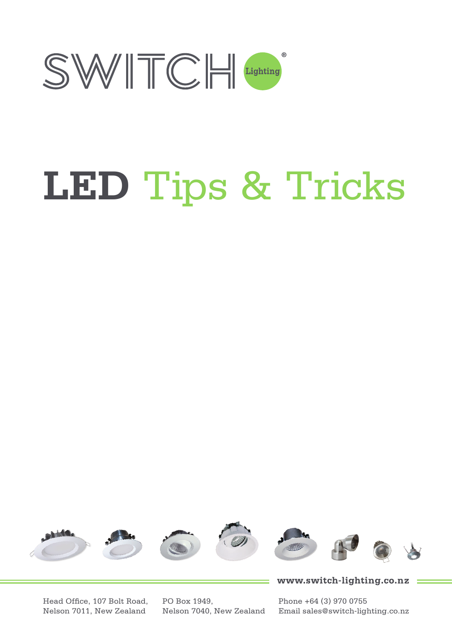

# **LED** Tips & Tricks



www.switch-lighting.co.nz

Head Office, 107 Bolt Road, Nelson 7011, New Zealand

PO Box 1949, Nelson 7040, New Zealand Phone +64 (3) 970 0755 Email sales@switch-lighting.co.nz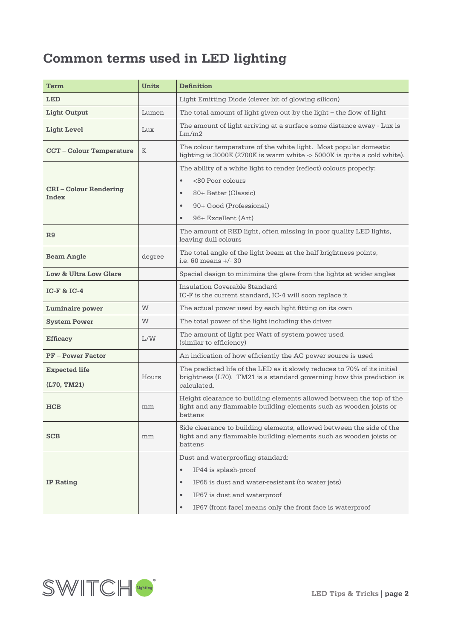# **Common terms used in LED lighting**

| Term                                 | <b>Units</b> | <b>Definition</b>                                                                                                                                     |  |  |  |  |  |
|--------------------------------------|--------------|-------------------------------------------------------------------------------------------------------------------------------------------------------|--|--|--|--|--|
| <b>LED</b>                           |              | Light Emitting Diode (clever bit of glowing silicon)                                                                                                  |  |  |  |  |  |
| <b>Light Output</b>                  | Lumen        | The total amount of light given out by the light – the flow of light                                                                                  |  |  |  |  |  |
| Light Level                          | Lux          | The amount of light arriving at a surface some distance away - Lux is<br>Lm/m2                                                                        |  |  |  |  |  |
| <b>CCT-Colour Temperature</b>        | K            | The colour temperature of the white light. Most popular domestic<br>lighting is 3000K (2700K is warm white -> 5000K is quite a cold white).           |  |  |  |  |  |
|                                      |              | The ability of a white light to render (reflect) colours properly:                                                                                    |  |  |  |  |  |
|                                      |              | <80 Poor colours<br>$\bullet$                                                                                                                         |  |  |  |  |  |
| <b>CRI-Colour Rendering</b><br>Index |              | 80+ Better (Classic)<br>$\bullet$                                                                                                                     |  |  |  |  |  |
|                                      |              | 90+ Good (Professional)<br>$\bullet$                                                                                                                  |  |  |  |  |  |
|                                      |              | 96+ Excellent (Art)<br>$\bullet$                                                                                                                      |  |  |  |  |  |
| R9                                   |              | The amount of RED light, often missing in poor quality LED lights,<br>leaving dull colours                                                            |  |  |  |  |  |
| <b>Beam Angle</b>                    | degree       | The total angle of the light beam at the half brightness points,<br>i.e. $60$ means $+/- 30$                                                          |  |  |  |  |  |
| Low & Ultra Low Glare                |              | Special design to minimize the glare from the lights at wider angles                                                                                  |  |  |  |  |  |
| $IC-F$ & $IC-4$                      |              | Insulation Coverable Standard<br>IC-F is the current standard, IC-4 will soon replace it                                                              |  |  |  |  |  |
| Luminaire power                      | W            | The actual power used by each light fitting on its own                                                                                                |  |  |  |  |  |
| <b>System Power</b>                  | W            | The total power of the light including the driver                                                                                                     |  |  |  |  |  |
| <b>Efficacy</b>                      | L/W          | The amount of light per Watt of system power used<br>(similar to efficiency)                                                                          |  |  |  |  |  |
| <b>PF-Power Factor</b>               |              | An indication of how efficiently the AC power source is used                                                                                          |  |  |  |  |  |
| <b>Expected life</b>                 | Hours        | The predicted life of the LED as it slowly reduces to 70% of its initial<br>brightness $(L70)$ . TM21 is a standard governing how this prediction is  |  |  |  |  |  |
| (L70, TM21)                          |              | calculated.                                                                                                                                           |  |  |  |  |  |
| HCB                                  | mm           | Height clearance to building elements allowed between the top of the<br>light and any flammable building elements such as wooden joists or<br>battens |  |  |  |  |  |
| <b>SCB</b>                           | mm           | Side clearance to building elements, allowed between the side of the<br>light and any flammable building elements such as wooden joists or<br>battens |  |  |  |  |  |
|                                      |              | Dust and waterproofing standard:                                                                                                                      |  |  |  |  |  |
|                                      |              | $\bullet$<br>IP44 is splash-proof                                                                                                                     |  |  |  |  |  |
| <b>IP Rating</b>                     |              | IP65 is dust and water-resistant (to water jets)<br>$\bullet$                                                                                         |  |  |  |  |  |
|                                      |              | $\bullet$<br>IP67 is dust and waterproof                                                                                                              |  |  |  |  |  |
|                                      |              | IP67 (front face) means only the front face is waterproof<br>$\bullet$                                                                                |  |  |  |  |  |

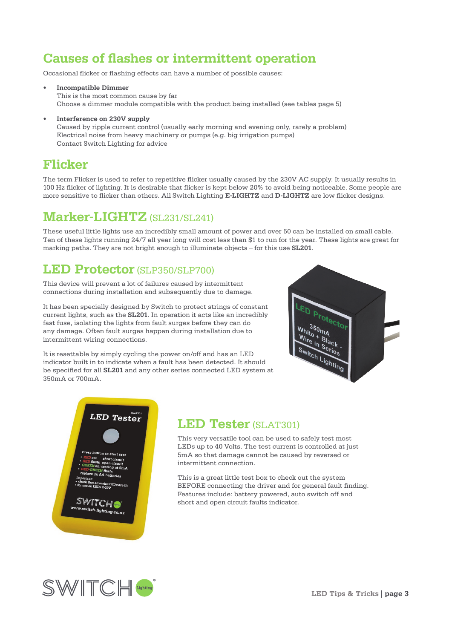# **Causes of flashes or intermittent operation**

Occasional flicker or flashing effects can have a number of possible causes:

- **• Incompatible Dimmer**  This is the most common cause by far Choose a dimmer module compatible with the product being installed (see tables page 5)
- **• Interference on 230V supply** Caused by ripple current control (usually early morning and evening only, rarely a problem) Electrical noise from heavy machinery or pumps (e.g. big irrigation pumps) Contact Switch Lighting for advice

# **Flicker**

The term Flicker is used to refer to repetitive flicker usually caused by the 230V AC supply. It usually results in 100 Hz flicker of lighting. It is desirable that flicker is kept below 20% to avoid being noticeable. Some people are more sensitive to flicker than others. All Switch Lighting **E-LIGHTZ** and **D-LIGHTZ** are low flicker designs.

# **Marker-LIGHTZ** (SL231/SL241)

These useful little lights use an incredibly small amount of power and over 50 can be installed on small cable. Ten of these lights running 24/7 all year long will cost less than \$1 to run for the year. These lights are great for marking paths. They are not bright enough to illuminate objects – for this use **SL201**.

# **LED Protector** (SLP350/SLP700)

This device will prevent a lot of failures caused by intermittent connections during installation and subsequently due to damage.

It has been specially designed by Switch to protect strings of constant current lights, such as the **SL201**. In operation it acts like an incredibly fast fuse, isolating the lights from fault surges before they can do any damage. Often fault surges happen during installation due to intermittent wiring connections.

It is resettable by simply cycling the power on/off and has an LED indicator built in to indicate when a fault has been detected. It should be specified for all **SL201** and any other series connected LED system at 350mA or 700mA.





## **LED Tester** (SLAT301)

This very versatile tool can be used to safely test most LEDs up to 40 Volts. The test current is controlled at just 5mA so that damage cannot be caused by reversed or intermittent connection.

This is a great little test box to check out the system BEFORE connecting the driver and for general fault finding. Features include: battery powered, auto switch off and short and open circuit faults indicator.

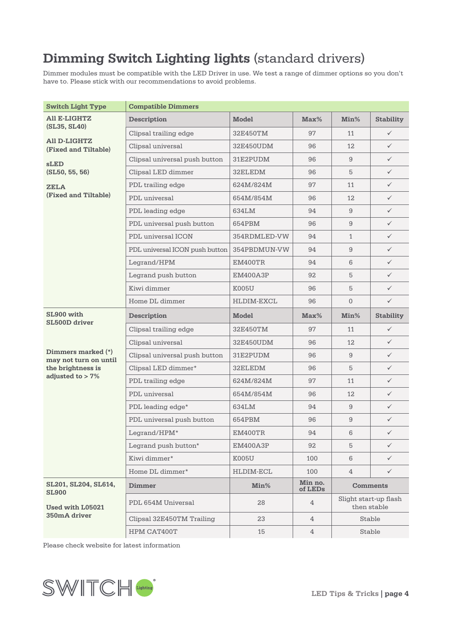# **Dimming Switch Lighting lights** (standard drivers)

Dimmer modules must be compatible with the LED Driver in use. We test a range of dimmer options so you don't have to. Please stick with our recommendations to avoid problems.

| <b>Switch Light Type</b>                    | <b>Compatible Dimmers</b>      |              |                    |                |                                      |
|---------------------------------------------|--------------------------------|--------------|--------------------|----------------|--------------------------------------|
| All E-LIGHTZ<br>(SL35, SL40)                | Description                    | <b>Model</b> | Max%               | Min%           | <b>Stability</b>                     |
|                                             | Clipsal trailing edge          | 32E450TM     | 97                 | 11             | $\checkmark$                         |
| All D-LIGHTZ<br>(Fixed and Tiltable)        | Clipsal universal              | 32E450UDM    | 96                 | 12             | $\checkmark$                         |
| sLED                                        | Clipsal universal push button  | 31E2PUDM     | 96                 | 9              | $\checkmark$                         |
| (SL50, 55, 56)                              | Clipsal LED dimmer             | 32ELEDM      | 96                 | 5              | $\checkmark$                         |
| <b>ZELA</b>                                 | PDL trailing edge              | 624M/824M    | 97                 | 11             | $\checkmark$                         |
| (Fixed and Tiltable)                        | PDL universal                  | 654M/854M    | 96                 | 12             | $\checkmark$                         |
|                                             | PDL leading edge               | 634LM        | 94                 | 9              | $\checkmark$                         |
|                                             | PDL universal push button      | 654PBM       | 96                 | 9              | $\checkmark$                         |
|                                             | PDL universal ICON             | 354RDMLED-VW | 94                 | $\mathbf{1}$   | $\checkmark$                         |
|                                             | PDL universal ICON push button | 354PBDMUN-VW | 94                 | 9              | $\checkmark$                         |
|                                             | Legrand/HPM                    | EM400TR      | 94                 | 6              | $\checkmark$                         |
|                                             | Legrand push button            | EM400A3P     | 92                 | 5              | $\checkmark$                         |
|                                             | Kiwi dimmer                    | K005U        | 96                 | 5              | $\checkmark$                         |
|                                             | Home DL dimmer                 | HLDIM-EXCL   | 96                 | $\overline{0}$ | $\checkmark$                         |
| SL900 with                                  | Description                    | <b>Model</b> | Max%               | Min%           | <b>Stability</b>                     |
| SL500D driver                               | Clipsal trailing edge          | 32E450TM     | 97                 | 11             | $\checkmark$                         |
|                                             | Clipsal universal              | 32E450UDM    | 96                 | 12             | $\checkmark$                         |
| Dimmers marked (*)<br>may not turn on until | Clipsal universal push button  | 31E2PUDM     | 96                 | 9              | $\checkmark$                         |
| the brightness is                           | Clipsal LED dimmer*            | 32ELEDM      | 96                 | 5              | $\checkmark$                         |
| adjusted to $> 7\%$                         | PDL trailing edge              | 624M/824M    | 97                 | 11             | $\checkmark$                         |
|                                             | PDL universal                  | 654M/854M    | 96                 | 12             | $\checkmark$                         |
|                                             | PDL leading edge*              | 634LM        | 94                 | 9              | $\checkmark$                         |
|                                             | PDL universal push button      | 654PBM       | 96                 | 9              | $\checkmark$                         |
|                                             | Legrand/HPM*                   | EM400TR      | 94                 | 6              | $\checkmark$                         |
|                                             | Legrand push button*           | EM400A3P     | 92                 | 5              | $\checkmark$                         |
|                                             | Kiwi dimmer*                   | K005U        | 100                | 6              | $\checkmark$                         |
|                                             | Home DL dimmer*                | HLDIM-ECL    | 100                | $\overline{4}$ | $\checkmark$                         |
| SL201, SL204, SL614,<br><b>SL900</b>        | Dimmer                         | Min%         | Min no.<br>of LEDs |                | <b>Comments</b>                      |
| Used with L05021                            | PDL 654M Universal             | 28           | 4                  |                | Slight start-up flash<br>then stable |
| 350mA driver                                | Clipsal 32E450TM Trailing      | 23           | $\overline{4}$     |                | Stable                               |
|                                             | HPM CAT400T                    | 15           | 4                  |                | Stable                               |

Please check website for latest information

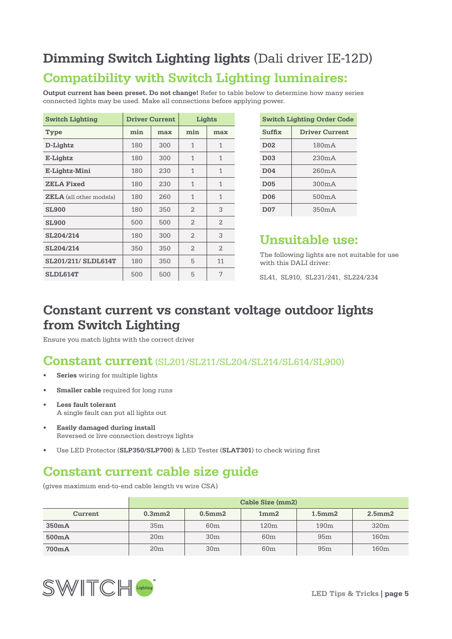# **Dimming Switch Lighting lights** (Dali driver IE-12D)

# **Compatibility with Switch Lighting luminaires:**

**Output current has been preset. Do not change!** Refer to table below to determine how many series connected lights may be used. Make all connections before applying power.

| <b>Switch Lighting</b>         |     | <b>Driver Current</b> |                | Lights         |
|--------------------------------|-----|-----------------------|----------------|----------------|
| Type                           | min | max                   | min            | max            |
| D-Lightz                       | 180 | 300                   | 1              | 1              |
| E-Lightz                       | 180 | 300                   | 1              | 1              |
| E-Lightz-Mini                  | 180 | 230                   | 1              | 1              |
| <b>ZELA Fixed</b>              | 180 | 230                   | 1              | 1              |
| <b>ZELA</b> (all other models) | 180 | 260                   | 1              | 1              |
| <b>SL900</b>                   | 180 | 350                   | $\overline{2}$ | 3              |
| <b>SL900</b>                   | 500 | 500                   | $\overline{2}$ | $\overline{2}$ |
| SL204/214                      | 180 | 300                   | $\mathfrak{D}$ | 3              |
| SL204/214                      | 350 | 350                   | 2              | $\overline{2}$ |
| SL201/211/ SLDL614T            | 180 | 350                   | 5              | 11             |
| SLDL614T                       | 500 | 500                   | 5              | 7              |

|                  | <b>Switch Lighting Order Code</b> |
|------------------|-----------------------------------|
| Suffix           | <b>Driver Current</b>             |
| D <sub>0</sub> 2 | 180mA                             |
| D <sub>03</sub>  | 230mA                             |
| D <sub>04</sub>  | 260mA                             |
| D <sub>05</sub>  | 300mA                             |
| D <sub>06</sub>  | 500mA                             |
| D <sub>07</sub>  | 350mA                             |

# **Unsuitable use:**

The following lights are not suitable for use with this DALI driver:

SL41, SL910, SL231/241, SL224/234

# **Constant current vs constant voltage outdoor lights from Switch Lighting**

Ensure you match lights with the correct driver

## **Constant current** (SL201/SL211/SL204/SL214/SL614/SL900)

- **• Series** wiring for multiple lights
- **• Smaller cable** required for long runs
- **• Less fault tolerant** A single fault can put all lights out
- **• Easily damaged during install** Reversed or live connection destroys lights
- Use LED Protector (**SLP350/SLP700**) & LED Tester (**SLAT301**) to check wiring first

# **Constant current cable size guide**

(gives maximum end-to-end cable length vs wire CSA)

|         | Cable Size (mm2) |                 |                 |                 |                  |  |  |  |  |  |
|---------|------------------|-----------------|-----------------|-----------------|------------------|--|--|--|--|--|
| Current | $0.3$ mm $2$     | 0.5mm2          | 1mm2            | 1.5mm2          | 2.5mm2           |  |  |  |  |  |
| 350mA   | 35 <sub>m</sub>  | 60m             | 120m            | 190m            | 320 <sub>m</sub> |  |  |  |  |  |
| 500mA   | 20 <sub>m</sub>  | 30 <sub>m</sub> | 60 <sub>m</sub> | 95m             | 160m             |  |  |  |  |  |
| 700mA   | 20 <sub>m</sub>  | 30 <sub>m</sub> | 60 <sub>m</sub> | 95 <sub>m</sub> | 160m             |  |  |  |  |  |

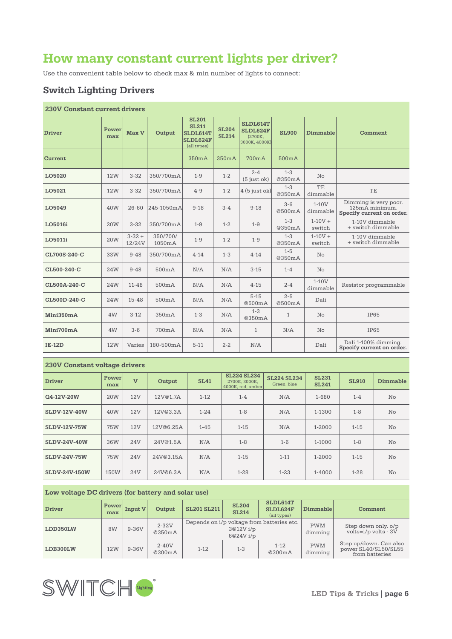# **How many constant current lights per driver?**

Use the convenient table below to check max & min number of lights to connect:

## **Switch Lighting Drivers**

## **230V Constant current drivers**

| <b>Driver</b>  | Power<br>max | Max V                | Output             | <b>SL201</b><br><b>SL211</b><br>SLDL614T<br>SLDL624F<br>(all types) | <b>SL204</b><br><b>SL214</b> | SLDL614T<br>SLDL624F<br>(2700K.<br>3000K, 4000K) | <b>SL900</b>      | <b>Dimmable</b>            | Comment                                                              |
|----------------|--------------|----------------------|--------------------|---------------------------------------------------------------------|------------------------------|--------------------------------------------------|-------------------|----------------------------|----------------------------------------------------------------------|
| <b>Current</b> |              |                      |                    | 350mA                                                               | 350mA                        | 700mA                                            | 500mA             |                            |                                                                      |
| LO5020         | <b>12W</b>   | $3 - 32$             | 350/700mA          | $1 - 9$                                                             | $1 - 2$                      | $2 - 4$<br>$(5$ just ok)                         | $1 - 3$<br>@350mA | $\overline{\text{No}}$     |                                                                      |
| LO5021         | <b>12W</b>   | $3 - 32$             | 350/700mA          | $4 - 9$                                                             | $1 - 2$                      | $4(5$ just ok)                                   | $1 - 3$<br>@350mA | TE<br>dimmable             | TE                                                                   |
| LO5049         | 40W          | $26 - 60$            | 245-1050mA         | $9 - 18$                                                            | $3 - 4$                      | $9 - 18$                                         | $3 - 6$<br>@500mA | $1-10V$<br>dimmable        | Dimming is very poor.<br>125mA minimum.<br>Specify current on order. |
| LO5016i        | <b>20W</b>   | $3 - 32$             | 350/700mA          | $1 - 9$                                                             | $1 - 2$                      | $1 - 9$                                          | $1 - 3$<br>@350mA | $1-10V +$<br>switch        | 1-10V dimmable<br>+ switch dimmable                                  |
| LO5011i        | 20W          | $3 - 32 +$<br>12/24V | 350/700/<br>1050mA | $1 - 9$                                                             | $1 - 2$                      | $1 - 9$                                          | $1 - 3$<br>@350mA | $1-10V +$<br>switch        | 1-10V dimmable<br>+ switch dimmable                                  |
| CL700S-240-C   | 33W          | $9 - 48$             | 350/700mA          | $4 - 14$                                                            | $1 - 3$                      | $4 - 14$                                         | $1 - 5$<br>@350mA | No                         |                                                                      |
| CL500-240-C    | 24W          | $9 - 48$             | 500mA              | N/A                                                                 | N/A                          | $3 - 15$                                         | $1 - 4$           | No                         |                                                                      |
| CL500A-240-C   | 24W          | $11 - 48$            | 500mA              | N/A                                                                 | N/A                          | $4 - 15$                                         | $2 - 4$           | $1-10V$<br>dimmable        | Resistor programmable                                                |
| CL500D-240-C   | 24W          | $15 - 48$            | 500mA              | N/A                                                                 | N/A                          | $5 - 15$<br>@500mA                               | $2 - 5$<br>@500mA | Dali                       |                                                                      |
| Mini350mA      | 4W           | $3-12$               | 350mA              | $1 - 3$                                                             | N/A                          | $1 - 3$<br>@350mA                                | $\mathbf{1}$      | No                         | <b>IP65</b>                                                          |
| Mini700mA      | 4W           | $3 - 6$              | 700mA              | N/A                                                                 | N/A                          | $\mathbf{1}$                                     | N/A               | $\mathop{\rm No}\nolimits$ | IP65                                                                 |
| <b>IE-12D</b>  | <b>12W</b>   | Varies               | 180-500mA          | $5 - 11$                                                            | $2 - 2$                      | N/A                                              |                   | Dali                       | Dali 1-100% dimming.<br>Specify current on order.                    |

## **230V Constant voltage drivers**

| <b>Driver</b>        | Power<br>max    | $\overline{V}$ | Output    | <b>SL41</b> | <b>SL224 SL234</b><br>2700K, 3000K,<br>4000K, red, amber | <b>SL224 SL234</b><br>Green, blue | <b>SL231</b><br><b>SL241</b> | <b>SL910</b> | Dimmable       |
|----------------------|-----------------|----------------|-----------|-------------|----------------------------------------------------------|-----------------------------------|------------------------------|--------------|----------------|
| Q4-12V-20W           | 20 <sub>W</sub> | 12V            | 12V@1.7A  | $1 - 12$    | $1 - 4$                                                  | N/A                               | 1-680                        | $1 - 4$      |                |
| <b>SLDV-12V-40W</b>  | 40W             | 12V            | 12V@3.3A  | $1 - 24$    | $1 - 8$                                                  | N/A                               | $1 - 8$<br>1-1300            |              | $\overline{N}$ |
| <b>SLDV-12V-75W</b>  | 75W             | 12V            | 12V@6.25A | $1 - 45$    | $1 - 15$                                                 | N/A                               | 1-2000                       | $1 - 15$     | No             |
| <b>SLDV-24V-40W</b>  | 36W             | 24V            | 24V@1.5A  | N/A         | $1 - 8$                                                  | $1 - 6$                           | $1-1000$                     | $1 - 8$      | No             |
| <b>SLDV-24V-75W</b>  | 75W             | 24V            | 24V@3.15A | N/A         | $1 - 15$                                                 | $1 - 11$                          | $1 - 2000$                   | $1 - 15$     | No             |
| <b>SLDV-24V-150W</b> | 150W            | 24V            | 24V@6.3A  | N/A         | $1 - 28$                                                 | $1 - 2.3$                         | $1 - 4000$                   | $1 - 28$     | $\overline{N}$ |

#### **Low voltage DC drivers (for battery and solar use)**

| <b>Driver</b> | <b>Power</b><br>max | <b>Input V</b> | Output            | <b>SL204</b><br><b>SL201 SL211</b><br><b>SL214</b> |                      | SLDL614T<br>Dimmable<br>SLDL624F<br>(all types) |                       | Comment                                                          |
|---------------|---------------------|----------------|-------------------|----------------------------------------------------|----------------------|-------------------------------------------------|-----------------------|------------------------------------------------------------------|
| LDD350LW      | 8W                  | $9-36V$        | $2-32V$<br>@350mA |                                                    | 3@12Vi/p<br>6@24Vi/p | Depends on $i/p$ voltage from batteries etc.    | <b>PWM</b><br>dimming | Step down only. o/p<br>$volts = i/p$ volts - 3V                  |
| LDB300LW      | 12W                 | $9-36V$        | $2-40V$<br>@300mA | $1 - 12$                                           | $1 - 3$              | $1 - 12$<br>@300mA                              | <b>PWM</b><br>dimming | Step up/down. Can also<br>power SL40/SL50/SL55<br>from batteries |

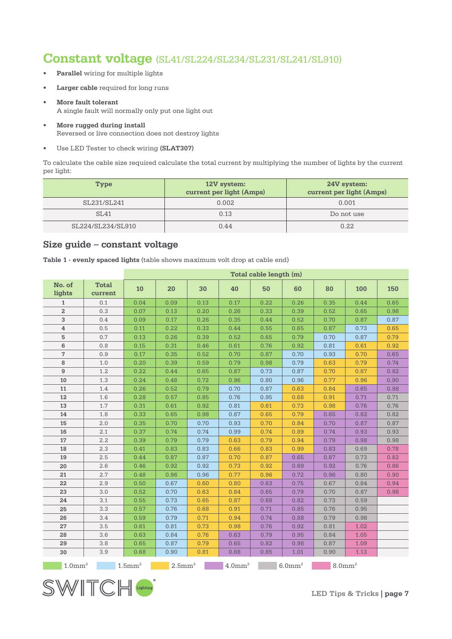## **Constant voltage** (SL41/SL224/SL234/SL231/SL241/SL910)

- **• Parallel** wiring for multiple lights
- **• Larger cable** required for long runs
- **• More fault tolerant** A single fault will normally only put one light out
- **• More rugged during install** Reversed or live connection does not destroy lights
- Use LED Tester to check wiring **(SLAT307)**

To calculate the cable size required calculate the total current by multiplying the number of lights by the current per light:

| Type              | 12V system:<br>current per light (Amps) | 24V system:<br>current per light (Amps) |
|-------------------|-----------------------------------------|-----------------------------------------|
| SL231/SL241       | 0.002                                   | 0.001                                   |
| SL41              | 0.13                                    | Do not use                              |
| SL224/SL234/SL910 | 0.44                                    | 0.22                                    |

## **Size guide – constant voltage**

SWITCH

|  |  |  | Table 1 - evenly spaced lights (table shows maximum volt drop at cable end) |  |  |  |
|--|--|--|-----------------------------------------------------------------------------|--|--|--|
|  |  |  |                                                                             |  |  |  |

|                       |                         |                       |                       |      |                       | Total cable length (m) |                    |                       |      |      |
|-----------------------|-------------------------|-----------------------|-----------------------|------|-----------------------|------------------------|--------------------|-----------------------|------|------|
| No. of<br>lights      | <b>Total</b><br>current | 10                    | 20                    | 30   | 40                    | 50                     | 60                 | 80                    | 100  | 150  |
| $\mathbf{1}$          | 0.1                     | 0.04                  | 0.09                  | 0.13 | 0.17                  | 0.22                   | 0.26               | 0.35                  | 0.44 | 0.65 |
| $\boldsymbol{2}$      | 0.3                     | 0.07                  | 0.13                  | 0.20 | 0.26                  | 0.33                   | 0.39               | 0.52                  | 0.65 | 0.98 |
| 3                     | 0.4                     | 0.09                  | 0.17                  | 0.26 | 0.35                  | 0.44                   | 0.52               | 0.70                  | 0.87 | 0.87 |
| $\overline{4}$        | 0.5                     | 0.11                  | 0.22                  | 0.33 | 0.44                  | 0.55                   | 0.65               | 0.87                  | 0.73 | 0.65 |
| 5                     | 0.7                     | 0.13                  | 0.26                  | 0.39 | 0.52                  | 0.65                   | 0.79               | 0.70                  | 0.87 | 0.79 |
| 6                     | 0.8                     | 0.15                  | 0.31                  | 0.46 | 0.61                  | 0.76                   | 0.92               | 0.81                  | 0.61 | 0.92 |
| 7                     | 0.9                     | 0.17                  | 0.35                  | 0.52 | 0.70                  | 0.87                   | 0.70               | 0.93                  | 0.70 | 0.65 |
| 8                     | 1.0                     | 0.20                  | 0.39                  | 0.59 | 0.79                  | 0.98                   | 0.79               | 0.63                  | 0.79 | 0.74 |
| $\boldsymbol{9}$      | 1.2                     | 0.22                  | 0.44                  | 0.65 | 0.87                  | 0.73                   | 0.87               | 0.70                  | 0.87 | 0.82 |
| 10                    | 1.3                     | 0.24                  | 0.48                  | 0.72 | 0.96                  | 0.80                   | 0.96               | 0.77                  | 0.96 | 0.90 |
| 11                    | 1.4                     | 0.26                  | 0.52                  | 0.79 | 0.70                  | 0.87                   | 0.63               | 0.84                  | 0.65 | 0.98 |
| 12                    | 1.6                     | 0.28                  | 0.57                  | 0.85 | 0.76                  | 0.95                   | 0.68               | 0.91                  | 0.71 | 0.71 |
| 13                    | 1.7                     | 0.31                  | 0.61                  | 0.92 | 0.81                  | 0.61                   | 0.73               | 0.98                  | 0.76 | 0.76 |
| 14                    | 1.8                     | 0.33                  | 0.65                  | 0.98 | 0.87                  | 0.65                   | 0.79               | 0.65                  | 0.82 | 0.82 |
| 15                    | 2.0                     | 0.35                  | 0.70                  | 0.70 | 0.93                  | 0.70                   | 0.84               | 0.70                  | 0.87 | 0.87 |
| 16                    | 2.1                     | 0.37                  | 0.74                  | 0.74 | 0.99                  | 0.74                   | 0.89               | 0.74                  | 0.93 | 0.93 |
| 17                    | 2.2                     | 0.39                  | 0.79                  | 0.79 | 0.63                  | 0.79                   | 0.94               | 0.79                  | 0.98 | 0.98 |
| 18                    | 2.3                     | 0.41                  | 0.83                  | 0.83 | 0.66                  | 0.83                   | 0.99               | 0.83                  | 0.69 | 0.78 |
| 19                    | 2.5                     | 0.44                  | 0.87                  | 0.87 | 0.70                  | 0.87                   | 0.65               | 0.87                  | 0.73 | 0.82 |
| 20                    | 2.6                     | 0.46                  | 0.92                  | 0.92 | 0.73                  | 0.92                   | 0.69               | 0.92                  | 0.76 | 0.86 |
| 21                    | 2.7                     | 0.48                  | 0.96                  | 0.96 | 0.77                  | 0.96                   | 0.72               | 0.96                  | 0.80 | 0.90 |
| 22                    | 2.9                     | 0.50                  | 0.67                  | 0.60 | 0.80                  | 0.63                   | 0.75               | 0.67                  | 0.84 | 0.94 |
| 23                    | 3.0                     | 0.52                  | 0.70                  | 0.63 | 0.84                  | 0.65                   | 0.79               | 0.70                  | 0.87 | 0.98 |
| 24                    | 3.1                     | 0.55                  | 0.73                  | 0.65 | 0.87                  | 0.68                   | 0.82               | 0.73                  | 0.59 |      |
| 25                    | 3.3                     | 0.57                  | 0.76                  | 0.68 | 0.91                  | 0.71                   | 0.85               | 0.76                  | 0.95 |      |
| 26                    | 3.4                     | 0.59                  | 0.79                  | 0.71 | 0.94                  | 0.74                   | 0.88               | 0.79                  | 0.98 |      |
| 27                    | 3.5                     | 0.61                  | 0.81                  | 0.73 | 0.98                  | 0.76                   | 0.92               | 0.81                  | 1.02 |      |
| 28                    | 3.6                     | 0.63                  | 0.84                  | 0.76 | 0.63                  | 0.79                   | 0.95               | 0.84                  | 1.05 |      |
| 29                    | 3.8                     | 0.65                  | 0.87                  | 0.79 | 0.65                  | 0.82                   | 0.98               | 0.87                  | 1.09 |      |
| 30                    | 3.9                     | 0.68                  | 0.90                  | 0.81 | 0.68                  | 0.85                   | 1.01               | 0.90                  | 1.13 |      |
| $1.0$ mm <sup>2</sup> |                         | $1.5$ mm <sup>2</sup> | $2.5$ mm <sup>2</sup> |      | $4.0$ mm <sup>2</sup> |                        | 6.0mm <sup>2</sup> | $8.0$ mm <sup>2</sup> |      |      |

**LED Tips & Tricks | page 7**